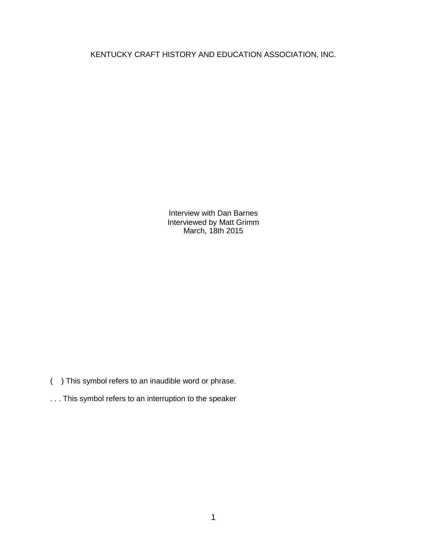KENTUCKY CRAFT HISTORY AND EDUCATION ASSOCIATION, INC.

Interview with Dan Barnes Interviewed by Matt Grimm March, 18th 2015

- ( ) This symbol refers to an inaudible word or phrase.
- . . . This symbol refers to an interruption to the speaker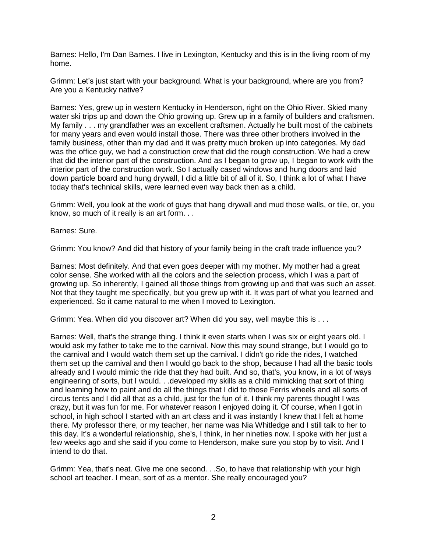Barnes: Hello, I'm Dan Barnes. I live in Lexington, Kentucky and this is in the living room of my home.

Grimm: Let's just start with your background. What is your background, where are you from? Are you a Kentucky native?

Barnes: Yes, grew up in western Kentucky in Henderson, right on the Ohio River. Skied many water ski trips up and down the Ohio growing up. Grew up in a family of builders and craftsmen. My family . . . my grandfather was an excellent craftsmen. Actually he built most of the cabinets for many years and even would install those. There was three other brothers involved in the family business, other than my dad and it was pretty much broken up into categories. My dad was the office guy, we had a construction crew that did the rough construction. We had a crew that did the interior part of the construction. And as I began to grow up, I began to work with the interior part of the construction work. So I actually cased windows and hung doors and laid down particle board and hung drywall, I did a little bit of all of it. So, I think a lot of what I have today that's technical skills, were learned even way back then as a child.

Grimm: Well, you look at the work of guys that hang drywall and mud those walls, or tile, or, you know, so much of it really is an art form. . .

Barnes: Sure.

Grimm: You know? And did that history of your family being in the craft trade influence you?

Barnes: Most definitely. And that even goes deeper with my mother. My mother had a great color sense. She worked with all the colors and the selection process, which I was a part of growing up. So inherently, I gained all those things from growing up and that was such an asset. Not that they taught me specifically, but you grew up with it. It was part of what you learned and experienced. So it came natural to me when I moved to Lexington.

Grimm: Yea. When did you discover art? When did you say, well maybe this is . . .

Barnes: Well, that's the strange thing. I think it even starts when I was six or eight years old. I would ask my father to take me to the carnival. Now this may sound strange, but I would go to the carnival and I would watch them set up the carnival. I didn't go ride the rides, I watched them set up the carnival and then I would go back to the shop, because I had all the basic tools already and I would mimic the ride that they had built. And so, that's, you know, in a lot of ways engineering of sorts, but I would. . .developed my skills as a child mimicking that sort of thing and learning how to paint and do all the things that I did to those Ferris wheels and all sorts of circus tents and I did all that as a child, just for the fun of it. I think my parents thought I was crazy, but it was fun for me. For whatever reason I enjoyed doing it. Of course, when I got in school, in high school I started with an art class and it was instantly I knew that I felt at home there. My professor there, or my teacher, her name was Nia Whitledge and I still talk to her to this day. It's a wonderful relationship, she's, I think, in her nineties now. I spoke with her just a few weeks ago and she said if you come to Henderson, make sure you stop by to visit. And I intend to do that.

Grimm: Yea, that's neat. Give me one second. . .So, to have that relationship with your high school art teacher. I mean, sort of as a mentor. She really encouraged you?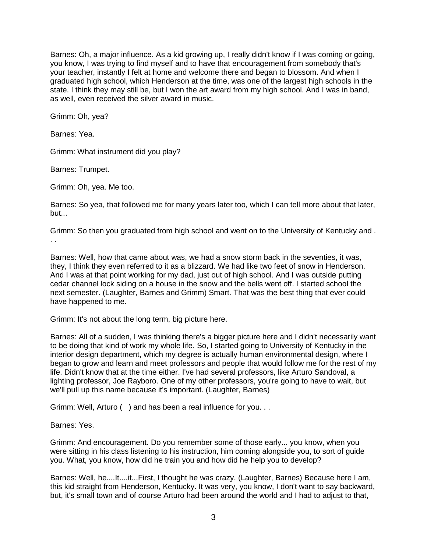Barnes: Oh, a major influence. As a kid growing up, I really didn't know if I was coming or going, you know, I was trying to find myself and to have that encouragement from somebody that's your teacher, instantly I felt at home and welcome there and began to blossom. And when I graduated high school, which Henderson at the time, was one of the largest high schools in the state. I think they may still be, but I won the art award from my high school. And I was in band, as well, even received the silver award in music.

Grimm: Oh, yea?

Barnes: Yea.

Grimm: What instrument did you play?

Barnes: Trumpet.

Grimm: Oh, yea. Me too.

Barnes: So yea, that followed me for many years later too, which I can tell more about that later, but...

Grimm: So then you graduated from high school and went on to the University of Kentucky and . . .

Barnes: Well, how that came about was, we had a snow storm back in the seventies, it was, they, I think they even referred to it as a blizzard. We had like two feet of snow in Henderson. And I was at that point working for my dad, just out of high school. And I was outside putting cedar channel lock siding on a house in the snow and the bells went off. I started school the next semester. (Laughter, Barnes and Grimm) Smart. That was the best thing that ever could have happened to me.

Grimm: It's not about the long term, big picture here.

Barnes: All of a sudden, I was thinking there's a bigger picture here and I didn't necessarily want to be doing that kind of work my whole life. So, I started going to University of Kentucky in the interior design department, which my degree is actually human environmental design, where I began to grow and learn and meet professors and people that would follow me for the rest of my life. Didn't know that at the time either. I've had several professors, like Arturo Sandoval, a lighting professor, Joe Rayboro. One of my other professors, you're going to have to wait, but we'll pull up this name because it's important. (Laughter, Barnes)

Grimm: Well, Arturo ( ) and has been a real influence for you. . .

Barnes: Yes.

Grimm: And encouragement. Do you remember some of those early... you know, when you were sitting in his class listening to his instruction, him coming alongside you, to sort of guide you. What, you know, how did he train you and how did he help you to develop?

Barnes: Well, he....It....it...First, I thought he was crazy. (Laughter, Barnes) Because here I am, this kid straight from Henderson, Kentucky. It was very, you know, I don't want to say backward, but, it's small town and of course Arturo had been around the world and I had to adjust to that,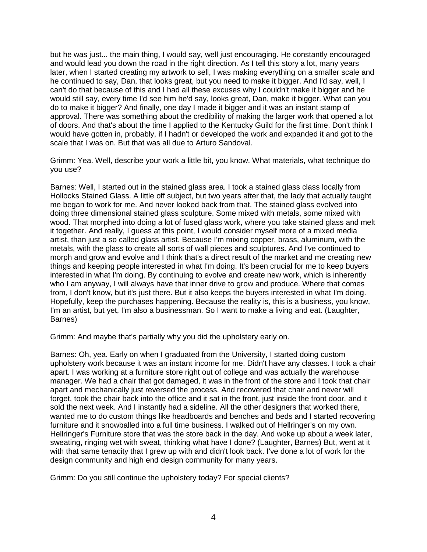but he was just... the main thing, I would say, well just encouraging. He constantly encouraged and would lead you down the road in the right direction. As I tell this story a lot, many years later, when I started creating my artwork to sell, I was making everything on a smaller scale and he continued to say, Dan, that looks great, but you need to make it bigger. And I'd say, well, I can't do that because of this and I had all these excuses why I couldn't make it bigger and he would still say, every time I'd see him he'd say, looks great, Dan, make it bigger. What can you do to make it bigger? And finally, one day I made it bigger and it was an instant stamp of approval. There was something about the credibility of making the larger work that opened a lot of doors. And that's about the time I applied to the Kentucky Guild for the first time. Don't think I would have gotten in, probably, if I hadn't or developed the work and expanded it and got to the scale that I was on. But that was all due to Arturo Sandoval.

Grimm: Yea. Well, describe your work a little bit, you know. What materials, what technique do you use?

Barnes: Well, I started out in the stained glass area. I took a stained glass class locally from Hollocks Stained Glass. A little off subject, but two years after that, the lady that actually taught me began to work for me. And never looked back from that. The stained glass evolved into doing three dimensional stained glass sculpture. Some mixed with metals, some mixed with wood. That morphed into doing a lot of fused glass work, where you take stained glass and melt it together. And really, I guess at this point, I would consider myself more of a mixed media artist, than just a so called glass artist. Because I'm mixing copper, brass, aluminum, with the metals, with the glass to create all sorts of wall pieces and sculptures. And I've continued to morph and grow and evolve and I think that's a direct result of the market and me creating new things and keeping people interested in what I'm doing. It's been crucial for me to keep buyers interested in what I'm doing. By continuing to evolve and create new work, which is inherently who I am anyway, I will always have that inner drive to grow and produce. Where that comes from, I don't know, but it's just there. But it also keeps the buyers interested in what I'm doing. Hopefully, keep the purchases happening. Because the reality is, this is a business, you know, I'm an artist, but yet, I'm also a businessman. So I want to make a living and eat. (Laughter, Barnes)

Grimm: And maybe that's partially why you did the upholstery early on.

Barnes: Oh, yea. Early on when I graduated from the University, I started doing custom upholstery work because it was an instant income for me. Didn't have any classes. I took a chair apart. I was working at a furniture store right out of college and was actually the warehouse manager. We had a chair that got damaged, it was in the front of the store and I took that chair apart and mechanically just reversed the process. And recovered that chair and never will forget, took the chair back into the office and it sat in the front, just inside the front door, and it sold the next week. And I instantly had a sideline. All the other designers that worked there, wanted me to do custom things like headboards and benches and beds and I started recovering furniture and it snowballed into a full time business. I walked out of Hellringer's on my own. Hellringer's Furniture store that was the store back in the day. And woke up about a week later, sweating, ringing wet with sweat, thinking what have I done? (Laughter, Barnes) But, went at it with that same tenacity that I grew up with and didn't look back. I've done a lot of work for the design community and high end design community for many years.

Grimm: Do you still continue the upholstery today? For special clients?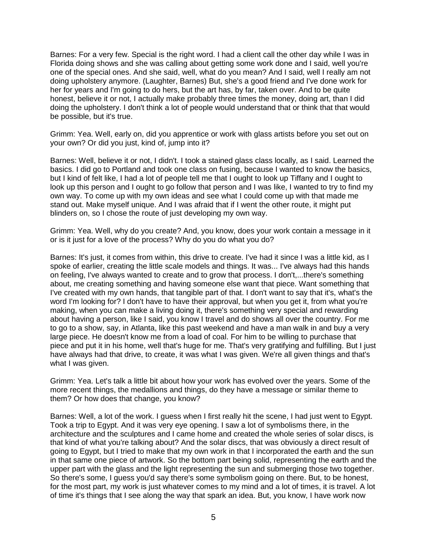Barnes: For a very few. Special is the right word. I had a client call the other day while I was in Florida doing shows and she was calling about getting some work done and I said, well you're one of the special ones. And she said, well, what do you mean? And I said, well I really am not doing upholstery anymore. (Laughter, Barnes) But, she's a good friend and I've done work for her for years and I'm going to do hers, but the art has, by far, taken over. And to be quite honest, believe it or not, I actually make probably three times the money, doing art, than I did doing the upholstery. I don't think a lot of people would understand that or think that that would be possible, but it's true.

Grimm: Yea. Well, early on, did you apprentice or work with glass artists before you set out on your own? Or did you just, kind of, jump into it?

Barnes: Well, believe it or not, I didn't. I took a stained glass class locally, as I said. Learned the basics. I did go to Portland and took one class on fusing, because I wanted to know the basics, but I kind of felt like, I had a lot of people tell me that I ought to look up Tiffany and I ought to look up this person and I ought to go follow that person and I was like, I wanted to try to find my own way. To come up with my own ideas and see what I could come up with that made me stand out. Make myself unique. And I was afraid that if I went the other route, it might put blinders on, so I chose the route of just developing my own way.

Grimm: Yea. Well, why do you create? And, you know, does your work contain a message in it or is it just for a love of the process? Why do you do what you do?

Barnes: It's just, it comes from within, this drive to create. I've had it since I was a little kid, as I spoke of earlier, creating the little scale models and things. It was... I've always had this hands on feeling, I've always wanted to create and to grow that process. I don't,...there's something about, me creating something and having someone else want that piece. Want something that I've created with my own hands, that tangible part of that. I don't want to say that it's, what's the word I'm looking for? I don't have to have their approval, but when you get it, from what you're making, when you can make a living doing it, there's something very special and rewarding about having a person, like I said, you know I travel and do shows all over the country. For me to go to a show, say, in Atlanta, like this past weekend and have a man walk in and buy a very large piece. He doesn't know me from a load of coal. For him to be willing to purchase that piece and put it in his home, well that's huge for me. That's very gratifying and fulfilling. But I just have always had that drive, to create, it was what I was given. We're all given things and that's what I was given.

Grimm: Yea. Let's talk a little bit about how your work has evolved over the years. Some of the more recent things, the medallions and things, do they have a message or similar theme to them? Or how does that change, you know?

Barnes: Well, a lot of the work. I guess when I first really hit the scene, I had just went to Egypt. Took a trip to Egypt. And it was very eye opening. I saw a lot of symbolisms there, in the architecture and the sculptures and I came home and created the whole series of solar discs, is that kind of what you're talking about? And the solar discs, that was obviously a direct result of going to Egypt, but I tried to make that my own work in that I incorporated the earth and the sun in that same one piece of artwork. So the bottom part being solid, representing the earth and the upper part with the glass and the light representing the sun and submerging those two together. So there's some, I guess you'd say there's some symbolism going on there. But, to be honest, for the most part, my work is just whatever comes to my mind and a lot of times, it is travel. A lot of time it's things that I see along the way that spark an idea. But, you know, I have work now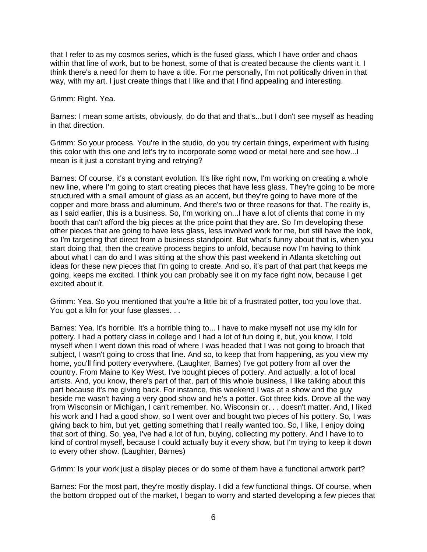that I refer to as my cosmos series, which is the fused glass, which I have order and chaos within that line of work, but to be honest, some of that is created because the clients want it. I think there's a need for them to have a title. For me personally, I'm not politically driven in that way, with my art. I just create things that I like and that I find appealing and interesting.

## Grimm: Right. Yea.

Barnes: I mean some artists, obviously, do do that and that's...but I don't see myself as heading in that direction.

Grimm: So your process. You're in the studio, do you try certain things, experiment with fusing this color with this one and let's try to incorporate some wood or metal here and see how...I mean is it just a constant trying and retrying?

Barnes: Of course, it's a constant evolution. It's like right now, I'm working on creating a whole new line, where I'm going to start creating pieces that have less glass. They're going to be more structured with a small amount of glass as an accent, but they're going to have more of the copper and more brass and aluminum. And there's two or three reasons for that. The reality is, as I said earlier, this is a business. So, I'm working on...I have a lot of clients that come in my booth that can't afford the big pieces at the price point that they are. So I'm developing these other pieces that are going to have less glass, less involved work for me, but still have the look, so I'm targeting that direct from a business standpoint. But what's funny about that is, when you start doing that, then the creative process begins to unfold, because now I'm having to think about what I can do and I was sitting at the show this past weekend in Atlanta sketching out ideas for these new pieces that I'm going to create. And so, it's part of that part that keeps me going, keeps me excited. I think you can probably see it on my face right now, because I get excited about it.

Grimm: Yea. So you mentioned that you're a little bit of a frustrated potter, too you love that. You got a kiln for your fuse glasses. . .

Barnes: Yea. It's horrible. It's a horrible thing to... I have to make myself not use my kiln for pottery. I had a pottery class in college and I had a lot of fun doing it, but, you know, I told myself when I went down this road of where I was headed that I was not going to broach that subject, I wasn't going to cross that line. And so, to keep that from happening, as you view my home, you'll find pottery everywhere. (Laughter, Barnes) I've got pottery from all over the country. From Maine to Key West, I've bought pieces of pottery. And actually, a lot of local artists. And, you know, there's part of that, part of this whole business, I like talking about this part because it's me giving back. For instance, this weekend I was at a show and the guy beside me wasn't having a very good show and he's a potter. Got three kids. Drove all the way from Wisconsin or Michigan, I can't remember. No, Wisconsin or. . . doesn't matter. And, I liked his work and I had a good show, so I went over and bought two pieces of his pottery. So, I was giving back to him, but yet, getting something that I really wanted too. So, I like, I enjoy doing that sort of thing. So, yea, I've had a lot of fun, buying, collecting my pottery. And I have to to kind of control myself, because I could actually buy it every show, but I'm trying to keep it down to every other show. (Laughter, Barnes)

Grimm: Is your work just a display pieces or do some of them have a functional artwork part?

Barnes: For the most part, they're mostly display. I did a few functional things. Of course, when the bottom dropped out of the market, I began to worry and started developing a few pieces that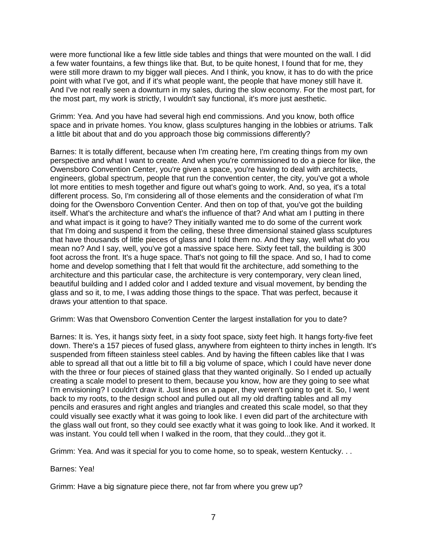were more functional like a few little side tables and things that were mounted on the wall. I did a few water fountains, a few things like that. But, to be quite honest, I found that for me, they were still more drawn to my bigger wall pieces. And I think, you know, it has to do with the price point with what I've got, and if it's what people want, the people that have money still have it. And I've not really seen a downturn in my sales, during the slow economy. For the most part, for the most part, my work is strictly, I wouldn't say functional, it's more just aesthetic.

Grimm: Yea. And you have had several high end commissions. And you know, both office space and in private homes. You know, glass sculptures hanging in the lobbies or atriums. Talk a little bit about that and do you approach those big commissions differently?

Barnes: It is totally different, because when I'm creating here, I'm creating things from my own perspective and what I want to create. And when you're commissioned to do a piece for like, the Owensboro Convention Center, you're given a space, you're having to deal with architects, engineers, global spectrum, people that run the convention center, the city, you've got a whole lot more entities to mesh together and figure out what's going to work. And, so yea, it's a total different process. So, I'm considering all of those elements and the consideration of what I'm doing for the Owensboro Convention Center. And then on top of that, you've got the building itself. What's the architecture and what's the influence of that? And what am I putting in there and what impact is it going to have? They initially wanted me to do some of the current work that I'm doing and suspend it from the ceiling, these three dimensional stained glass sculptures that have thousands of little pieces of glass and I told them no. And they say, well what do you mean no? And I say, well, you've got a massive space here. Sixty feet tall, the building is 300 foot across the front. It's a huge space. That's not going to fill the space. And so, I had to come home and develop something that I felt that would fit the architecture, add something to the architecture and this particular case, the architecture is very contemporary, very clean lined, beautiful building and I added color and I added texture and visual movement, by bending the glass and so it, to me, I was adding those things to the space. That was perfect, because it draws your attention to that space.

Grimm: Was that Owensboro Convention Center the largest installation for you to date?

Barnes: It is. Yes, it hangs sixty feet, in a sixty foot space, sixty feet high. It hangs forty-five feet down. There's a 157 pieces of fused glass, anywhere from eighteen to thirty inches in length. It's suspended from fifteen stainless steel cables. And by having the fifteen cables like that I was able to spread all that out a little bit to fill a big volume of space, which I could have never done with the three or four pieces of stained glass that they wanted originally. So I ended up actually creating a scale model to present to them, because you know, how are they going to see what I'm envisioning? I couldn't draw it. Just lines on a paper, they weren't going to get it. So, I went back to my roots, to the design school and pulled out all my old drafting tables and all my pencils and erasures and right angles and triangles and created this scale model, so that they could visually see exactly what it was going to look like. I even did part of the architecture with the glass wall out front, so they could see exactly what it was going to look like. And it worked. It was instant. You could tell when I walked in the room, that they could...they got it.

Grimm: Yea. And was it special for you to come home, so to speak, western Kentucky. . .

## Barnes: Yea!

Grimm: Have a big signature piece there, not far from where you grew up?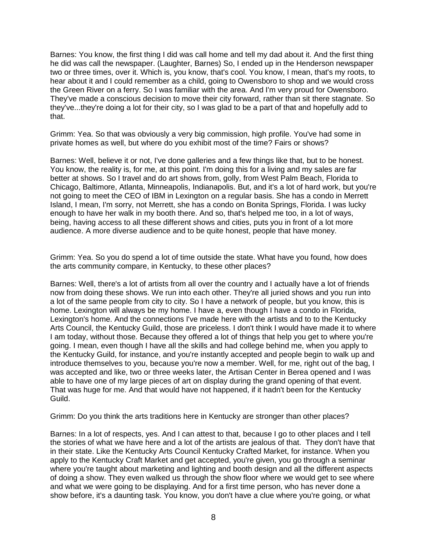Barnes: You know, the first thing I did was call home and tell my dad about it. And the first thing he did was call the newspaper. (Laughter, Barnes) So, I ended up in the Henderson newspaper two or three times, over it. Which is, you know, that's cool. You know, I mean, that's my roots, to hear about it and I could remember as a child, going to Owensboro to shop and we would cross the Green River on a ferry. So I was familiar with the area. And I'm very proud for Owensboro. They've made a conscious decision to move their city forward, rather than sit there stagnate. So they've...they're doing a lot for their city, so I was glad to be a part of that and hopefully add to that.

Grimm: Yea. So that was obviously a very big commission, high profile. You've had some in private homes as well, but where do you exhibit most of the time? Fairs or shows?

Barnes: Well, believe it or not, I've done galleries and a few things like that, but to be honest. You know, the reality is, for me, at this point. I'm doing this for a living and my sales are far better at shows. So I travel and do art shows from, golly, from West Palm Beach, Florida to Chicago, Baltimore, Atlanta, Minneapolis, Indianapolis. But, and it's a lot of hard work, but you're not going to meet the CEO of IBM in Lexington on a regular basis. She has a condo in Merrett Island, I mean, I'm sorry, not Merrett, she has a condo on Bonita Springs, Florida. I was lucky enough to have her walk in my booth there. And so, that's helped me too, in a lot of ways, being, having access to all these different shows and cities, puts you in front of a lot more audience. A more diverse audience and to be quite honest, people that have money.

Grimm: Yea. So you do spend a lot of time outside the state. What have you found, how does the arts community compare, in Kentucky, to these other places?

Barnes: Well, there's a lot of artists from all over the country and I actually have a lot of friends now from doing these shows. We run into each other. They're all juried shows and you run into a lot of the same people from city to city. So I have a network of people, but you know, this is home. Lexington will always be my home. I have a, even though I have a condo in Florida, Lexington's home. And the connections I've made here with the artists and to to the Kentucky Arts Council, the Kentucky Guild, those are priceless. I don't think I would have made it to where I am today, without those. Because they offered a lot of things that help you get to where you're going. I mean, even though I have all the skills and had college behind me, when you apply to the Kentucky Guild, for instance, and you're instantly accepted and people begin to walk up and introduce themselves to you, because you're now a member. Well, for me, right out of the bag, I was accepted and like, two or three weeks later, the Artisan Center in Berea opened and I was able to have one of my large pieces of art on display during the grand opening of that event. That was huge for me. And that would have not happened, if it hadn't been for the Kentucky Guild.

Grimm: Do you think the arts traditions here in Kentucky are stronger than other places?

Barnes: In a lot of respects, yes. And I can attest to that, because I go to other places and I tell the stories of what we have here and a lot of the artists are jealous of that. They don't have that in their state. Like the Kentucky Arts Council Kentucky Crafted Market, for instance. When you apply to the Kentucky Craft Market and get accepted, you're given, you go through a seminar where you're taught about marketing and lighting and booth design and all the different aspects of doing a show. They even walked us through the show floor where we would get to see where and what we were going to be displaying. And for a first time person, who has never done a show before, it's a daunting task. You know, you don't have a clue where you're going, or what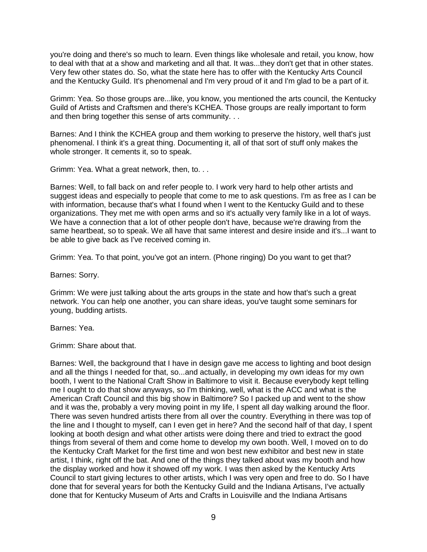you're doing and there's so much to learn. Even things like wholesale and retail, you know, how to deal with that at a show and marketing and all that. It was...they don't get that in other states. Very few other states do. So, what the state here has to offer with the Kentucky Arts Council and the Kentucky Guild. It's phenomenal and I'm very proud of it and I'm glad to be a part of it.

Grimm: Yea. So those groups are...like, you know, you mentioned the arts council, the Kentucky Guild of Artists and Craftsmen and there's KCHEA. Those groups are really important to form and then bring together this sense of arts community. . .

Barnes: And I think the KCHEA group and them working to preserve the history, well that's just phenomenal. I think it's a great thing. Documenting it, all of that sort of stuff only makes the whole stronger. It cements it, so to speak.

Grimm: Yea. What a great network, then, to. . .

Barnes: Well, to fall back on and refer people to. I work very hard to help other artists and suggest ideas and especially to people that come to me to ask questions. I'm as free as I can be with information, because that's what I found when I went to the Kentucky Guild and to these organizations. They met me with open arms and so it's actually very family like in a lot of ways. We have a connection that a lot of other people don't have, because we're drawing from the same heartbeat, so to speak. We all have that same interest and desire inside and it's...I want to be able to give back as I've received coming in.

Grimm: Yea. To that point, you've got an intern. (Phone ringing) Do you want to get that?

Barnes: Sorry.

Grimm: We were just talking about the arts groups in the state and how that's such a great network. You can help one another, you can share ideas, you've taught some seminars for young, budding artists.

Barnes: Yea.

Grimm: Share about that.

Barnes: Well, the background that I have in design gave me access to lighting and boot design and all the things I needed for that, so...and actually, in developing my own ideas for my own booth, I went to the National Craft Show in Baltimore to visit it. Because everybody kept telling me I ought to do that show anyways, so I'm thinking, well, what is the ACC and what is the American Craft Council and this big show in Baltimore? So I packed up and went to the show and it was the, probably a very moving point in my life, I spent all day walking around the floor. There was seven hundred artists there from all over the country. Everything in there was top of the line and I thought to myself, can I even get in here? And the second half of that day, I spent looking at booth design and what other artists were doing there and tried to extract the good things from several of them and come home to develop my own booth. Well, I moved on to do the Kentucky Craft Market for the first time and won best new exhibitor and best new in state artist, I think, right off the bat. And one of the things they talked about was my booth and how the display worked and how it showed off my work. I was then asked by the Kentucky Arts Council to start giving lectures to other artists, which I was very open and free to do. So I have done that for several years for both the Kentucky Guild and the Indiana Artisans, I've actually done that for Kentucky Museum of Arts and Crafts in Louisville and the Indiana Artisans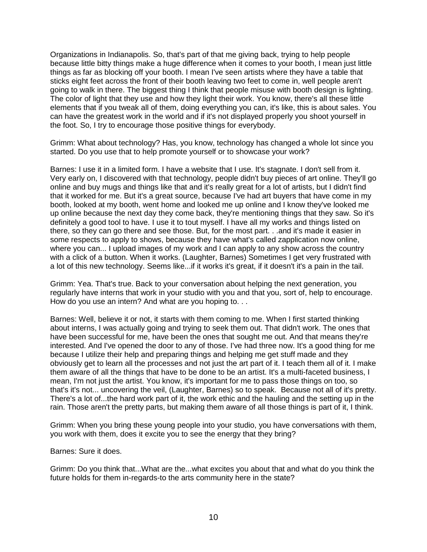Organizations in Indianapolis. So, that's part of that me giving back, trying to help people because little bitty things make a huge difference when it comes to your booth, I mean just little things as far as blocking off your booth. I mean I've seen artists where they have a table that sticks eight feet across the front of their booth leaving two feet to come in, well people aren't going to walk in there. The biggest thing I think that people misuse with booth design is lighting. The color of light that they use and how they light their work. You know, there's all these little elements that if you tweak all of them, doing everything you can, it's like, this is about sales. You can have the greatest work in the world and if it's not displayed properly you shoot yourself in the foot. So, I try to encourage those positive things for everybody.

Grimm: What about technology? Has, you know, technology has changed a whole lot since you started. Do you use that to help promote yourself or to showcase your work?

Barnes: I use it in a limited form. I have a website that I use. It's stagnate. I don't sell from it. Very early on, I discovered with that technology, people didn't buy pieces of art online. They'll go online and buy mugs and things like that and it's really great for a lot of artists, but I didn't find that it worked for me. But it's a great source, because I've had art buyers that have come in my booth, looked at my booth, went home and looked me up online and I know they've looked me up online because the next day they come back, they're mentioning things that they saw. So it's definitely a good tool to have. I use it to tout myself. I have all my works and things listed on there, so they can go there and see those. But, for the most part. . .and it's made it easier in some respects to apply to shows, because they have what's called zapplication now online, where you can... I upload images of my work and I can apply to any show across the country with a click of a button. When it works. (Laughter, Barnes) Sometimes I get very frustrated with a lot of this new technology. Seems like...if it works it's great, if it doesn't it's a pain in the tail.

Grimm: Yea. That's true. Back to your conversation about helping the next generation, you regularly have interns that work in your studio with you and that you, sort of, help to encourage. How do you use an intern? And what are you hoping to. . .

Barnes: Well, believe it or not, it starts with them coming to me. When I first started thinking about interns, I was actually going and trying to seek them out. That didn't work. The ones that have been successful for me, have been the ones that sought me out. And that means they're interested. And I've opened the door to any of those. I've had three now. It's a good thing for me because I utilize their help and preparing things and helping me get stuff made and they obviously get to learn all the processes and not just the art part of it. I teach them all of it. I make them aware of all the things that have to be done to be an artist. It's a multi-faceted business, I mean, I'm not just the artist. You know, it's important for me to pass those things on too, so that's it's not... uncovering the veil, (Laughter, Barnes) so to speak. Because not all of it's pretty. There's a lot of...the hard work part of it, the work ethic and the hauling and the setting up in the rain. Those aren't the pretty parts, but making them aware of all those things is part of it, I think.

Grimm: When you bring these young people into your studio, you have conversations with them, you work with them, does it excite you to see the energy that they bring?

Barnes: Sure it does.

Grimm: Do you think that...What are the...what excites you about that and what do you think the future holds for them in-regards-to the arts community here in the state?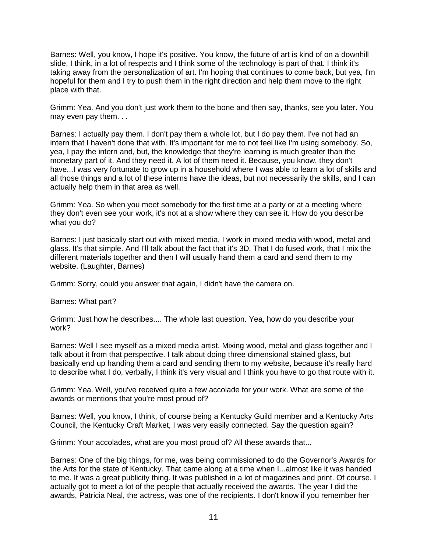Barnes: Well, you know, I hope it's positive. You know, the future of art is kind of on a downhill slide, I think, in a lot of respects and I think some of the technology is part of that. I think it's taking away from the personalization of art. I'm hoping that continues to come back, but yea, I'm hopeful for them and I try to push them in the right direction and help them move to the right place with that.

Grimm: Yea. And you don't just work them to the bone and then say, thanks, see you later. You may even pay them. . .

Barnes: I actually pay them. I don't pay them a whole lot, but I do pay them. I've not had an intern that I haven't done that with. It's important for me to not feel like I'm using somebody. So, yea, I pay the intern and, but, the knowledge that they're learning is much greater than the monetary part of it. And they need it. A lot of them need it. Because, you know, they don't have...I was very fortunate to grow up in a household where I was able to learn a lot of skills and all those things and a lot of these interns have the ideas, but not necessarily the skills, and I can actually help them in that area as well.

Grimm: Yea. So when you meet somebody for the first time at a party or at a meeting where they don't even see your work, it's not at a show where they can see it. How do you describe what you do?

Barnes: I just basically start out with mixed media, I work in mixed media with wood, metal and glass. It's that simple. And I'll talk about the fact that it's 3D. That I do fused work, that I mix the different materials together and then I will usually hand them a card and send them to my website. (Laughter, Barnes)

Grimm: Sorry, could you answer that again, I didn't have the camera on.

Barnes: What part?

Grimm: Just how he describes.... The whole last question. Yea, how do you describe your work?

Barnes: Well I see myself as a mixed media artist. Mixing wood, metal and glass together and I talk about it from that perspective. I talk about doing three dimensional stained glass, but basically end up handing them a card and sending them to my website, because it's really hard to describe what I do, verbally, I think it's very visual and I think you have to go that route with it.

Grimm: Yea. Well, you've received quite a few accolade for your work. What are some of the awards or mentions that you're most proud of?

Barnes: Well, you know, I think, of course being a Kentucky Guild member and a Kentucky Arts Council, the Kentucky Craft Market, I was very easily connected. Say the question again?

Grimm: Your accolades, what are you most proud of? All these awards that...

Barnes: One of the big things, for me, was being commissioned to do the Governor's Awards for the Arts for the state of Kentucky. That came along at a time when I...almost like it was handed to me. It was a great publicity thing. It was published in a lot of magazines and print. Of course, I actually got to meet a lot of the people that actually received the awards. The year I did the awards, Patricia Neal, the actress, was one of the recipients. I don't know if you remember her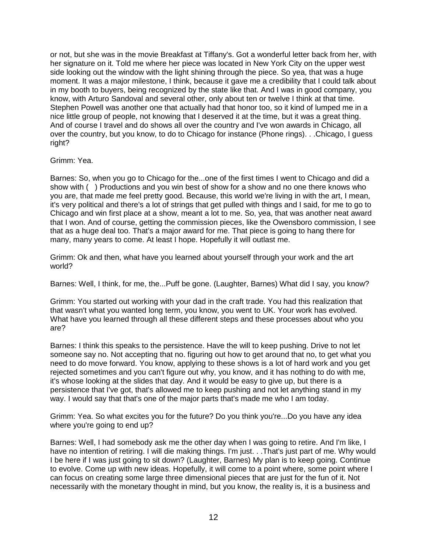or not, but she was in the movie Breakfast at Tiffany's. Got a wonderful letter back from her, with her signature on it. Told me where her piece was located in New York City on the upper west side looking out the window with the light shining through the piece. So yea, that was a huge moment. It was a major milestone, I think, because it gave me a credibility that I could talk about in my booth to buyers, being recognized by the state like that. And I was in good company, you know, with Arturo Sandoval and several other, only about ten or twelve I think at that time. Stephen Powell was another one that actually had that honor too, so it kind of lumped me in a nice little group of people, not knowing that I deserved it at the time, but it was a great thing. And of course I travel and do shows all over the country and I've won awards in Chicago, all over the country, but you know, to do to Chicago for instance (Phone rings). . .Chicago, I guess right?

## Grimm: Yea.

Barnes: So, when you go to Chicago for the...one of the first times I went to Chicago and did a show with ( ) Productions and you win best of show for a show and no one there knows who you are, that made me feel pretty good. Because, this world we're living in with the art, I mean, it's very political and there's a lot of strings that get pulled with things and I said, for me to go to Chicago and win first place at a show, meant a lot to me. So, yea, that was another neat award that I won. And of course, getting the commission pieces, like the Owensboro commission, I see that as a huge deal too. That's a major award for me. That piece is going to hang there for many, many years to come. At least I hope. Hopefully it will outlast me.

Grimm: Ok and then, what have you learned about yourself through your work and the art world?

Barnes: Well, I think, for me, the...Puff be gone. (Laughter, Barnes) What did I say, you know?

Grimm: You started out working with your dad in the craft trade. You had this realization that that wasn't what you wanted long term, you know, you went to UK. Your work has evolved. What have you learned through all these different steps and these processes about who you are?

Barnes: I think this speaks to the persistence. Have the will to keep pushing. Drive to not let someone say no. Not accepting that no. figuring out how to get around that no, to get what you need to do move forward. You know, applying to these shows is a lot of hard work and you get rejected sometimes and you can't figure out why, you know, and it has nothing to do with me, it's whose looking at the slides that day. And it would be easy to give up, but there is a persistence that I've got, that's allowed me to keep pushing and not let anything stand in my way. I would say that that's one of the major parts that's made me who I am today.

Grimm: Yea. So what excites you for the future? Do you think you're...Do you have any idea where you're going to end up?

Barnes: Well, I had somebody ask me the other day when I was going to retire. And I'm like, I have no intention of retiring. I will die making things. I'm just. . .That's just part of me. Why would I be here if I was just going to sit down? (Laughter, Barnes) My plan is to keep going. Continue to evolve. Come up with new ideas. Hopefully, it will come to a point where, some point where I can focus on creating some large three dimensional pieces that are just for the fun of it. Not necessarily with the monetary thought in mind, but you know, the reality is, it is a business and